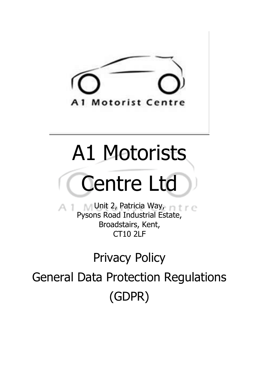

# A1 Motorists

# Centre Ltd

Unit 2, Patricia Way, Fig. C. Pysons Road Industrial Estate, Broadstairs, Kent, CT10 2LF

# Privacy Policy

General Data Protection Regulations (GDPR)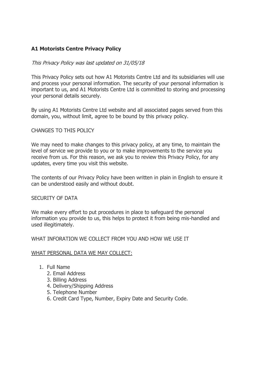# **A1 Motorists Centre Privacy Policy**

# This Privacy Policy was last updated on 31/05/18

This Privacy Policy sets out how A1 Motorists Centre Ltd and its subsidiaries will use and process your personal information. The security of your personal information is important to us, and A1 Motorists Centre Ltd is committed to storing and processing your personal details securely.

By using A1 Motorists Centre Ltd website and all associated pages served from this domain, you, without limit, agree to be bound by this privacy policy.

### CHANGES TO THIS POLICY

We may need to make changes to this privacy policy, at any time, to maintain the level of service we provide to you or to make improvements to the service you receive from us. For this reason, we ask you to review this Privacy Policy, for any updates, every time you visit this website.

The contents of our Privacy Policy have been written in plain in English to ensure it can be understood easily and without doubt.

#### SECURITY OF DATA

We make every effort to put procedures in place to safeguard the personal information you provide to us, this helps to protect it from being mis-handled and used illegitimately.

#### WHAT INFORATION WE COLLECT FROM YOU AND HOW WE USE IT

#### WHAT PERSONAL DATA WE MAY COLLECT:

- 1. Full Name
	- 2. Email Address
	- 3. Billing Address
	- 4. Delivery/Shipping Address
	- 5. Telephone Number
	- 6. Credit Card Type, Number, Expiry Date and Security Code.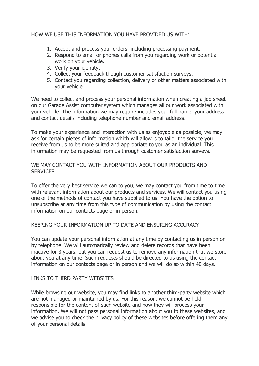# HOW WE USE THIS INFORMATION YOU HAVE PROVIDED US WITH:

- 1. Accept and process your orders, including processing payment.
- 2. Respond to email or phones calls from you regarding work or potential work on your vehicle.
- 3. Verify your identity.
- 4. Collect your feedback though customer satisfaction surveys.
- 5. Contact you regarding collection, delivery or other matters associated with your vehicle

We need to collect and process your personal information when creating a job sheet on our Garage Assist computer system which manages all our work associated with your vehicle. The information we may require includes your full name, your address and contact details including telephone number and email address.

To make your experience and interaction with us as enjoyable as possible, we may ask for certain pieces of information which will allow is to tailor the service you receive from us to be more suited and appropriate to you as an individual. This information may be requested from us through customer satisfaction surveys.

# WE MAY CONTACT YOU WITH INFORMATION ABOUT OUR PRODUCTS AND **SERVICES**

To offer the very best service we can to you, we may contact you from time to time with relevant information about our products and services. We will contact you using one of the methods of contact you have supplied to us. You have the option to unsubscribe at any time from this type of communication by using the contact information on our contacts page or in person.

# KEEPING YOUR INFORMATION UP TO DATE AND ENSURING ACCURACY

You can update your personal information at any time by contacting us in person or by telephone. We will automatically review and delete records that have been inactive for 3 years, but you can request us to remove any information that we store about you at any time. Such requests should be directed to us using the contact information on our contacts page or in person and we will do so within 40 days.

# LINKS TO THIRD PARTY WEBSITES

While browsing our website, you may find links to another third-party website which are not managed or maintained by us. For this reason, we cannot be held responsible for the content of such website and how they will process your information. We will not pass personal information about you to these websites, and we advise you to check the privacy policy of these websites before offering them any of your personal details.